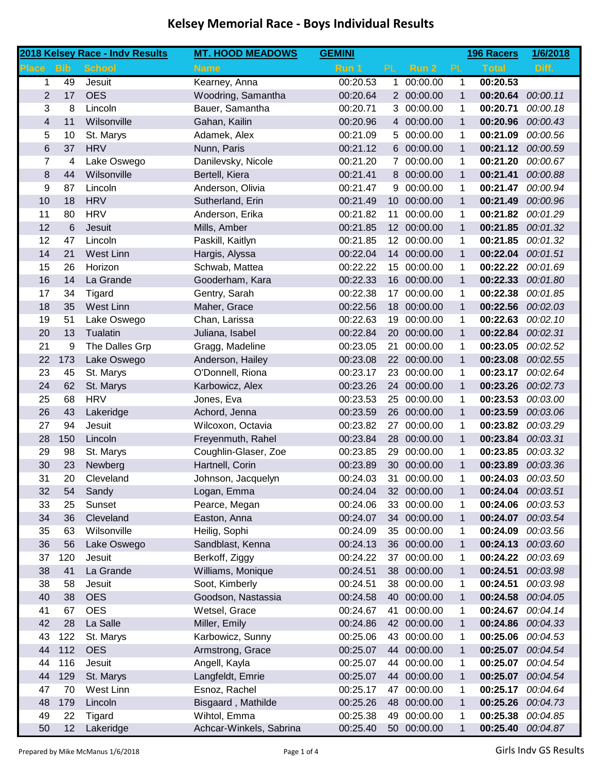|                         |            | 2018 Kelsey Race - Indv Results | <b>MT. HOOD MEADOWS</b>                   | <b>GEMINI</b>        |           |                            |                   | 196 Racers           | 1/6/2018             |
|-------------------------|------------|---------------------------------|-------------------------------------------|----------------------|-----------|----------------------------|-------------------|----------------------|----------------------|
| <b>Place</b>            | <b>Bib</b> | <b>School</b>                   | <b>Name</b>                               | Run 1                | <b>PL</b> | Run 2                      | PL.               | <b>Total</b>         | Diff.                |
| 1                       | 49         | Jesuit                          | Kearney, Anna                             | 00:20.53             | 1         | 00:00.00                   | 1                 | 00:20.53             |                      |
| $\overline{2}$          | 17         | <b>OES</b>                      | Woodring, Samantha                        | 00:20.64             |           | 2 00:00.00                 | $\mathbf{1}$      | 00:20.64             | 00:00.11             |
| 3                       | 8          | Lincoln                         | Bauer, Samantha                           | 00:20.71             |           | 3 00:00.00                 | 1                 | 00:20.71             | 00:00.18             |
| $\overline{\mathbf{4}}$ | 11         | Wilsonville                     | Gahan, Kailin                             | 00:20.96             |           | 4 00:00.00                 | $\mathbf{1}$      | 00:20.96             | 00:00.43             |
| 5                       | 10         | St. Marys                       | Adamek, Alex                              | 00:21.09             |           | 5 00:00.00                 | 1                 | 00:21.09             | 00:00.56             |
| 6                       | 37         | <b>HRV</b>                      | Nunn, Paris                               | 00:21.12             |           | 6 00:00.00                 | $\mathbf{1}$      | 00:21.12             | 00:00.59             |
| $\overline{7}$          | 4          | Lake Oswego                     | Danilevsky, Nicole                        | 00:21.20             |           | 7 00:00.00                 | 1                 | 00:21.20             | 00:00.67             |
| 8                       | 44         | Wilsonville                     | Bertell, Kiera                            | 00:21.41             |           | 8 00:00.00                 | $\mathbf{1}$      | 00:21.41             | 00:00.88             |
| 9                       | 87         | Lincoln                         | Anderson, Olivia                          | 00:21.47             |           | 9 00:00.00                 | 1                 | 00:21.47             | 00:00.94             |
| 10                      | 18         | <b>HRV</b>                      | Sutherland, Erin                          | 00:21.49             |           | 10 00:00.00                | $\mathbf{1}$      | 00:21.49             | 00:00.96             |
| 11                      | 80         | <b>HRV</b>                      | Anderson, Erika                           | 00:21.82             | 11        | 00:00.00                   | 1                 | 00:21.82             | 00:01.29             |
| 12                      | 6          | Jesuit                          | Mills, Amber                              | 00:21.85             |           | 12 00:00.00                | $\mathbf{1}$      | 00:21.85             | 00:01.32             |
| 12                      | 47         | Lincoln                         | Paskill, Kaitlyn                          | 00:21.85             |           | 12 00:00.00                | 1                 | 00:21.85             | 00:01.32             |
| 14                      | 21         | West Linn                       | Hargis, Alyssa                            | 00:22.04             |           | 14 00:00.00                | $\mathbf{1}$      | 00:22.04             | 00:01.51             |
| 15                      | 26         | Horizon                         | Schwab, Mattea                            | 00:22.22             |           | 15 00:00.00                | 1                 | 00:22.22             | 00:01.69             |
| 16                      | 14         | La Grande                       | Gooderham, Kara                           | 00:22.33             |           | 16 00:00.00                | $\mathbf{1}$      | 00:22.33             | 00:01.80             |
| 17                      | 34         | Tigard                          | Gentry, Sarah                             | 00:22.38             |           | 17 00:00.00                | 1                 | 00:22.38             | 00:01.85             |
| 18                      | 35         | <b>West Linn</b>                | Maher, Grace                              | 00:22.56             |           | 18 00:00.00                | $\mathbf{1}$      | 00:22.56             | 00:02.03             |
| 19                      | 51         | Lake Oswego                     | Chan, Larissa                             | 00:22.63             |           | 19 00:00.00                | 1                 | 00:22.63             | 00:02.10             |
| 20                      | 13         | Tualatin                        | Juliana, Isabel                           | 00:22.84             |           | 20 00:00.00                | $\mathbf{1}$      | 00:22.84             | 00:02.31             |
| 21                      | 9          | The Dalles Grp                  | Gragg, Madeline                           | 00:23.05             | 21        | 00:00.00                   | 1                 | 00:23.05             | 00:02.52             |
| 22                      | 173        | Lake Oswego                     | Anderson, Hailey                          | 00:23.08             |           | 22 00:00.00                | $\mathbf{1}$      | 00:23.08             | 00:02.55             |
| 23                      | 45         | St. Marys                       | O'Donnell, Riona                          | 00:23.17             |           | 23 00:00.00                | 1                 | 00:23.17             | 00:02.64             |
| 24                      | 62         | St. Marys                       | Karbowicz, Alex                           | 00:23.26             |           | 24 00:00.00                | $\mathbf{1}$      | 00:23.26             | 00:02.73             |
| 25                      | 68         | <b>HRV</b>                      | Jones, Eva                                | 00:23.53             | 25        | 00:00.00                   | 1                 | 00:23.53             | 00:03.00             |
| 26                      | 43         | Lakeridge                       | Achord, Jenna                             | 00:23.59             |           | 26 00:00.00                | $\mathbf{1}$      | 00:23.59             | 00:03.06             |
| 27<br>28                | 94<br>150  | Jesuit                          | Wilcoxon, Octavia                         | 00:23.82             |           | 27 00:00.00<br>28 00:00.00 | 1<br>$\mathbf{1}$ | 00:23.82<br>00:23.84 | 00:03.29<br>00:03.31 |
| 29                      | 98         | Lincoln                         | Freyenmuth, Rahel<br>Coughlin-Glaser, Zoe | 00:23.84             |           | 00:00.00                   | 1                 | 00:23.85             | 00:03.32             |
| 30                      | 23         | St. Marys<br>Newberg            | Hartnell, Corin                           | 00:23.85<br>00:23.89 | 29        | 30 00:00.00                | $\mathbf{1}$      | 00:23.89             | 00:03.36             |
| 31                      | 20         | Cleveland                       | Johnson, Jacquelyn                        | 00:24.03             | 31        | 00:00.00                   | 1                 | 00:24.03             | 00:03.50             |
| 32                      | 54         | Sandy                           | Logan, Emma                               | 00:24.04             |           | 32 00:00.00                | 1                 | 00:24.04             | 00:03.51             |
| 33                      | 25         | Sunset                          | Pearce, Megan                             | 00:24.06             |           | 33 00:00.00                | 1                 | 00:24.06             | 00:03.53             |
| 34                      | 36         | Cleveland                       | Easton, Anna                              | 00:24.07             |           | 34 00:00.00                | 1                 | 00:24.07             | 00:03.54             |
| 35                      | 63         | Wilsonville                     | Heilig, Sophi                             | 00:24.09             |           | 35 00:00.00                | 1                 | 00:24.09             | 00:03.56             |
| 36                      | 56         | Lake Oswego                     | Sandblast, Kenna                          | 00:24.13             |           | 36 00:00.00                | 1                 | 00:24.13             | 00:03.60             |
| 37                      | 120        | Jesuit                          | Berkoff, Ziggy                            | 00:24.22             | 37        | 00:00.00                   | 1                 | 00:24.22             | 00:03.69             |
| 38                      | 41         | La Grande                       | Williams, Monique                         | 00:24.51             |           | 38 00:00.00                | $\mathbf{1}$      | 00:24.51             | 00:03.98             |
| 38                      | 58         | Jesuit                          | Soot, Kimberly                            | 00:24.51             |           | 38 00:00.00                | 1                 | 00:24.51             | 00:03.98             |
| 40                      | 38         | <b>OES</b>                      | Goodson, Nastassia                        | 00:24.58             |           | 40 00:00.00                | $\mathbf{1}$      | 00:24.58             | 00:04.05             |
| 41                      | 67         | <b>OES</b>                      | Wetsel, Grace                             | 00:24.67             | 41        | 00:00.00                   | 1                 | 00:24.67             | 00:04.14             |
| 42                      | 28         | La Salle                        | Miller, Emily                             | 00:24.86             |           | 42 00:00.00                | 1                 | 00:24.86             | 00:04.33             |
| 43                      | 122        | St. Marys                       | Karbowicz, Sunny                          | 00:25.06             |           | 43 00:00.00                | 1                 | 00:25.06             | 00:04.53             |
| 44                      | 112        | <b>OES</b>                      | Armstrong, Grace                          | 00:25.07             |           | 44 00:00.00                | 1                 | 00:25.07             | 00:04.54             |
| 44                      | 116        | Jesuit                          | Angell, Kayla                             | 00:25.07             |           | 44 00:00.00                | 1                 | 00:25.07             | 00:04.54             |
| 44                      | 129        | St. Marys                       | Langfeldt, Emrie                          | 00:25.07             |           | 44 00:00.00                | 1                 | 00:25.07             | 00:04.54             |
| 47                      | 70         | West Linn                       | Esnoz, Rachel                             | 00:25.17             |           | 47 00:00.00                | 1                 | 00:25.17             | 00:04.64             |
| 48                      | 179        | Lincoln                         | Bisgaard, Mathilde                        | 00:25.26             |           | 48 00:00.00                | 1                 | 00:25.26             | 00:04.73             |
| 49                      | 22         | Tigard                          | Wihtol, Emma                              | 00:25.38             | 49        | 00:00.00                   | 1                 | 00:25.38             | 00:04.85             |
| 50                      | 12         | Lakeridge                       | Achcar-Winkels, Sabrina                   | 00:25.40             |           | 50 00:00.00                | 1                 | 00:25.40             | 00:04.87             |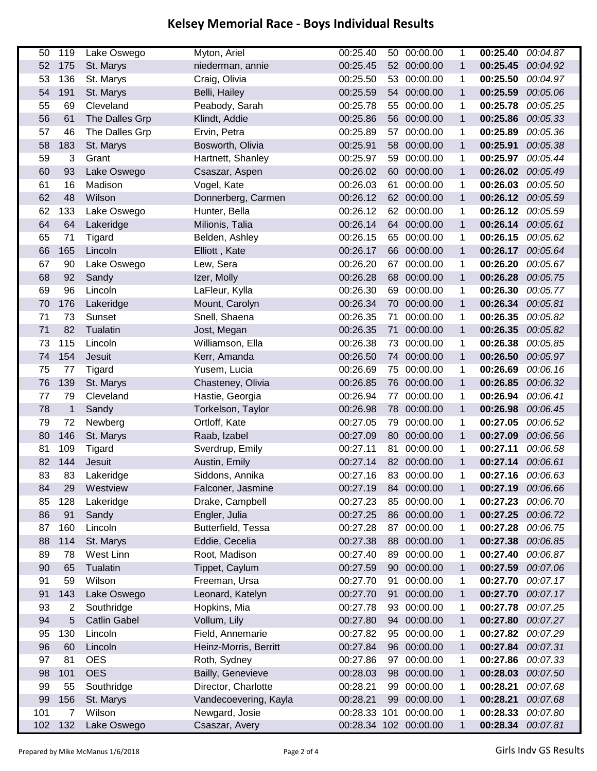| 50  | 119          | Lake Oswego         | Myton, Ariel          | 00:25.40 |     | 50 00:00.00           | 1            | 00:25.40 | 00:04.87 |
|-----|--------------|---------------------|-----------------------|----------|-----|-----------------------|--------------|----------|----------|
| 52  | 175          | St. Marys           | niederman, annie      | 00:25.45 |     | 52 00:00.00           | 1            | 00:25.45 | 00:04.92 |
| 53  | 136          | St. Marys           | Craig, Olivia         | 00:25.50 |     | 53 00:00.00           | 1            | 00:25.50 | 00:04.97 |
| 54  | 191          | St. Marys           | Belli, Hailey         | 00:25.59 |     | 54 00:00.00           | 1            | 00:25.59 | 00:05.06 |
| 55  | 69           | Cleveland           | Peabody, Sarah        | 00:25.78 | 55  | 00:00.00              | 1            | 00:25.78 | 00:05.25 |
| 56  | 61           | The Dalles Grp      | Klindt, Addie         | 00:25.86 | 56  | 00:00.00              | $\mathbf{1}$ | 00:25.86 | 00:05.33 |
| 57  | 46           | The Dalles Grp      | Ervin, Petra          | 00:25.89 |     | 57 00:00.00           | 1            | 00:25.89 | 00:05.36 |
| 58  | 183          | St. Marys           | Bosworth, Olivia      | 00:25.91 |     | 58 00:00.00           | 1            | 00:25.91 | 00:05.38 |
| 59  | 3            | Grant               | Hartnett, Shanley     | 00:25.97 |     | 59 00:00.00           | 1            | 00:25.97 | 00:05.44 |
| 60  | 93           | Lake Oswego         | Csaszar, Aspen        | 00:26.02 | 60  | 00:00.00              | $\mathbf{1}$ | 00:26.02 | 00:05.49 |
| 61  | 16           | Madison             | Vogel, Kate           | 00:26.03 | 61  | 00:00.00              | 1            | 00:26.03 | 00:05.50 |
| 62  | 48           | Wilson              | Donnerberg, Carmen    | 00:26.12 |     | 62 00:00.00           | 1            | 00:26.12 | 00:05.59 |
| 62  | 133          | Lake Oswego         | Hunter, Bella         | 00:26.12 |     | 62 00:00.00           | 1            | 00:26.12 | 00:05.59 |
| 64  | 64           | Lakeridge           | Milionis, Talia       | 00:26.14 |     | 64 00:00.00           | $\mathbf{1}$ | 00:26.14 | 00:05.61 |
| 65  | 71           | Tigard              | Belden, Ashley        | 00:26.15 |     | 65 00:00.00           | 1            | 00:26.15 | 00:05.62 |
| 66  | 165          | Lincoln             | Elliott, Kate         | 00:26.17 |     | 66 00:00.00           | 1            | 00:26.17 | 00:05.64 |
| 67  | 90           | Lake Oswego         | Lew, Sera             | 00:26.20 |     | 67 00:00.00           | 1            | 00:26.20 | 00:05.67 |
| 68  | 92           | Sandy               | Izer, Molly           | 00:26.28 |     | 68 00:00.00           | $\mathbf{1}$ | 00:26.28 | 00:05.75 |
| 69  | 96           | Lincoln             | LaFleur, Kylla        | 00:26.30 |     | 69 00:00.00           | 1            | 00:26.30 | 00:05.77 |
| 70  | 176          | Lakeridge           | Mount, Carolyn        | 00:26.34 |     | 70 00:00.00           | 1            | 00:26.34 | 00:05.81 |
| 71  | 73           | Sunset              | Snell, Shaena         | 00:26.35 | 71  | 00:00.00              | 1            | 00:26.35 | 00:05.82 |
| 71  | 82           | Tualatin            | Jost, Megan           | 00:26.35 | 71  | 00:00.00              | $\mathbf{1}$ | 00:26.35 | 00:05.82 |
| 73  | 115          | Lincoln             | Williamson, Ella      | 00:26.38 |     | 73 00:00.00           | 1            | 00:26.38 | 00:05.85 |
| 74  | 154          | Jesuit              | Kerr, Amanda          | 00:26.50 |     | 74 00:00.00           | $\mathbf{1}$ | 00:26.50 | 00:05.97 |
| 75  | 77           | Tigard              | Yusem, Lucia          | 00:26.69 | 75  | 00:00.00              | 1            | 00:26.69 | 00:06.16 |
| 76  | 139          | St. Marys           | Chasteney, Olivia     | 00:26.85 |     | 76 00:00.00           | $\mathbf{1}$ | 00:26.85 | 00:06.32 |
| 77  | 79           | Cleveland           | Hastie, Georgia       | 00:26.94 |     | 77 00:00.00           | 1            | 00:26.94 | 00:06.41 |
| 78  | $\mathbf{1}$ | Sandy               | Torkelson, Taylor     | 00:26.98 | 78  | 00:00.00              | 1            | 00:26.98 | 00:06.45 |
| 79  | 72           | Newberg             | Ortloff, Kate         | 00:27.05 | 79  | 00:00.00              | 1            | 00:27.05 | 00:06.52 |
| 80  | 146          | St. Marys           | Raab, Izabel          | 00:27.09 |     | 80 00:00.00           | $\mathbf{1}$ | 00:27.09 | 00:06.56 |
| 81  | 109          | Tigard              | Sverdrup, Emily       | 00:27.11 | 81  | 00:00.00              | 1            | 00:27.11 | 00:06.58 |
| 82  | 144          | <b>Jesuit</b>       | Austin, Emily         | 00:27.14 |     | 82 00:00.00           | $\mathbf{1}$ | 00:27.14 | 00:06.61 |
| 83  | 83           | Lakeridge           | Siddons, Annika       | 00:27.16 |     | 83 00:00.00           | 1            | 00:27.16 | 00:06.63 |
| 84  | 29           | Westview            | Falconer, Jasmine     | 00:27.19 |     | 84 00:00.00           | 1            | 00:27.19 | 00:06.66 |
| 85  | 128          | Lakeridge           | Drake, Campbell       | 00:27.23 | 85  | 00:00.00              | 1            | 00:27.23 | 00:06.70 |
| 86  | 91           | Sandy               | Engler, Julia         | 00:27.25 |     | 86 00:00.00           | 1            | 00:27.25 | 00:06.72 |
| 87  | 160          | Lincoln             | Butterfield, Tessa    | 00:27.28 | 87  | 00:00.00              | 1            | 00:27.28 | 00:06.75 |
| 88  | 114          | St. Marys           | Eddie, Cecelia        | 00:27.38 |     | 88 00:00.00           | 1            | 00:27.38 | 00:06.85 |
| 89  | 78           | West Linn           | Root, Madison         | 00:27.40 | 89  | 00:00.00              | 1            | 00:27.40 | 00:06.87 |
| 90  | 65           | Tualatin            | Tippet, Caylum        | 00:27.59 | 90  | 00:00.00              | 1            | 00:27.59 | 00:07.06 |
| 91  | 59           | Wilson              | Freeman, Ursa         | 00:27.70 | 91  | 00:00.00              | 1            | 00:27.70 | 00:07.17 |
| 91  | 143          | Lake Oswego         | Leonard, Katelyn      | 00:27.70 | 91  | 00:00.00              | 1            | 00:27.70 | 00:07.17 |
| 93  | 2            | Southridge          | Hopkins, Mia          | 00:27.78 |     | 93 00:00.00           | 1            | 00:27.78 | 00:07.25 |
| 94  | 5            | <b>Catlin Gabel</b> | Vollum, Lily          | 00:27.80 | 94  | 00:00.00              | 1            | 00:27.80 | 00:07.27 |
| 95  | 130          | Lincoln             | Field, Annemarie      | 00:27.82 | 95  | 00:00.00              | 1            | 00:27.82 | 00:07.29 |
| 96  | 60           | Lincoln             | Heinz-Morris, Berritt | 00:27.84 |     | 96 00:00.00           | 1            | 00:27.84 | 00:07.31 |
| 97  | 81           | <b>OES</b>          | Roth, Sydney          | 00:27.86 | 97  | 00:00.00              | 1            | 00:27.86 | 00:07.33 |
| 98  | 101          | <b>OES</b>          | Bailly, Genevieve     | 00:28.03 | 98  | 00:00.00              | 1            | 00:28.03 | 00:07.50 |
| 99  | 55           | Southridge          | Director, Charlotte   | 00:28.21 | 99  | 00:00.00              | 1            | 00:28.21 | 00:07.68 |
| 99  | 156          | St. Marys           | Vandecoevering, Kayla | 00:28.21 |     | 99 00:00.00           | 1            | 00:28.21 | 00:07.68 |
| 101 | 7            | Wilson              | Newgard, Josie        | 00:28.33 | 101 | 00:00.00              | 1            | 00:28.33 | 00:07.80 |
| 102 | 132          | Lake Oswego         | Csaszar, Avery        |          |     | 00:28.34 102 00:00.00 | 1            | 00:28.34 | 00:07.81 |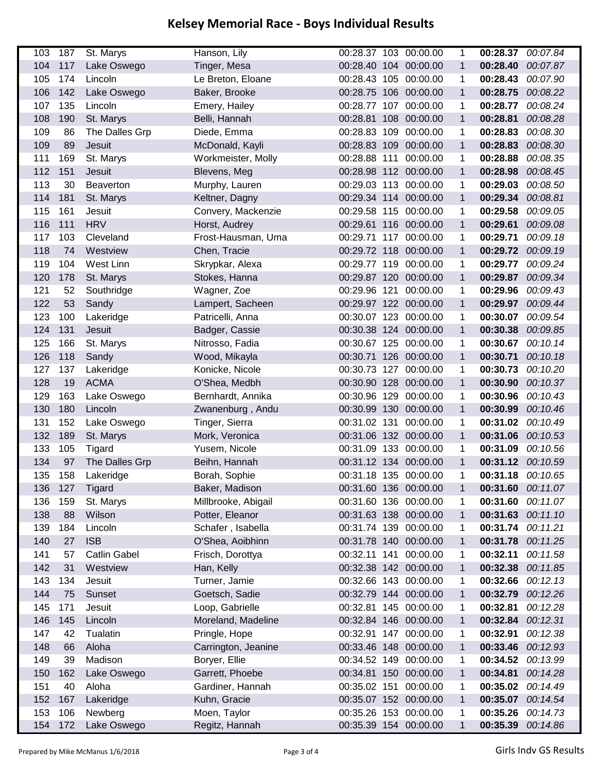| 103 | 187 | St. Marys           | Hanson, Lily        | 00:28.37 103 00:00.00 |                       | 1            | 00:28.37          | 00:07.84 |
|-----|-----|---------------------|---------------------|-----------------------|-----------------------|--------------|-------------------|----------|
| 104 | 117 | Lake Oswego         | Tinger, Mesa        | 00:28.40 104 00:00.00 |                       | $\mathbf 1$  | 00:28.40          | 00:07.87 |
| 105 | 174 | Lincoln             | Le Breton, Eloane   |                       | 00:28.43 105 00:00.00 | 1            | 00:28.43          | 00:07.90 |
| 106 | 142 | Lake Oswego         | Baker, Brooke       |                       | 00:28.75 106 00:00.00 | 1            | 00:28.75          | 00:08.22 |
| 107 | 135 | Lincoln             | Emery, Hailey       |                       | 00:28.77 107 00:00.00 | 1            | 00:28.77          | 00:08.24 |
| 108 | 190 | St. Marys           | Belli, Hannah       |                       | 00:28.81 108 00:00.00 | $\mathbf{1}$ | 00:28.81          | 00:08.28 |
| 109 | 86  | The Dalles Grp      | Diede, Emma         |                       | 00:28.83 109 00:00.00 | 1            | 00:28.83          | 00:08.30 |
| 109 | 89  | Jesuit              | McDonald, Kayli     |                       | 00:28.83 109 00:00.00 | $\mathbf 1$  | 00:28.83          | 00:08.30 |
| 111 | 169 | St. Marys           | Workmeister, Molly  |                       | 00:28.88 111 00:00.00 | 1            | 00:28.88          | 00:08.35 |
| 112 | 151 | <b>Jesuit</b>       | Blevens, Meg        |                       | 00:28.98 112 00:00.00 | 1            | 00:28.98          | 00:08.45 |
| 113 | 30  | <b>Beaverton</b>    | Murphy, Lauren      |                       | 00:29.03 113 00:00.00 | 1            | 00:29.03          | 00:08.50 |
| 114 | 181 | St. Marys           | Keltner, Dagny      |                       | 00:29.34 114 00:00.00 | $\mathbf 1$  | 00:29.34          | 00:08.81 |
| 115 | 161 | Jesuit              | Convery, Mackenzie  |                       | 00:29.58 115 00:00.00 | 1            | 00:29.58          | 00:09.05 |
| 116 | 111 | <b>HRV</b>          | Horst, Audrey       |                       | 00:29.61 116 00:00.00 | $\mathbf{1}$ | 00:29.61          | 00:09.08 |
| 117 | 103 | Cleveland           | Frost-Hausman, Uma  |                       | 00:29.71 117 00:00.00 | 1            | 00:29.71          | 00:09.18 |
| 118 | 74  | Westview            | Chen, Tracie        |                       | 00:29.72 118 00:00.00 | 1            | 00:29.72          | 00:09.19 |
| 119 | 104 | West Linn           | Skrypkar, Alexa     |                       | 00:29.77 119 00:00.00 | 1            | 00:29.77          | 00:09.24 |
| 120 | 178 | St. Marys           | Stokes, Hanna       |                       | 00:29.87 120 00:00.00 | $\mathbf 1$  | 00:29.87          | 00:09.34 |
| 121 | 52  | Southridge          | Wagner, Zoe         |                       | 00:29.96 121 00:00.00 | 1            | 00:29.96          | 00:09.43 |
| 122 | 53  | Sandy               | Lampert, Sacheen    |                       | 00:29.97 122 00:00.00 | $\mathbf 1$  | 00:29.97          | 00:09.44 |
| 123 | 100 | Lakeridge           | Patricelli, Anna    |                       | 00:30.07 123 00:00.00 | 1            | 00:30.07          | 00:09.54 |
| 124 | 131 | Jesuit              | Badger, Cassie      |                       | 00:30.38 124 00:00.00 | $\mathbf 1$  | 00:30.38          | 00:09.85 |
| 125 | 166 | St. Marys           | Nitrosso, Fadia     |                       | 00:30.67 125 00:00.00 | 1            | 00:30.67          | 00:10.14 |
| 126 | 118 | Sandy               | Wood, Mikayla       |                       | 00:30.71 126 00:00.00 | $\mathbf{1}$ | 00:30.71          | 00:10.18 |
| 127 | 137 | Lakeridge           | Konicke, Nicole     |                       | 00:30.73 127 00:00.00 | 1            | 00:30.73          | 00:10.20 |
| 128 | 19  | <b>ACMA</b>         | O'Shea, Medbh       |                       | 00:30.90 128 00:00.00 | $\mathbf 1$  | 00:30.90          | 00:10.37 |
| 129 | 163 | Lake Oswego         | Bernhardt, Annika   | 00:30.96 129 00:00.00 |                       | 1            | 00:30.96          | 00:10.43 |
| 130 | 180 | Lincoln             | Zwanenburg, Andu    |                       | 00:30.99 130 00:00.00 | 1            | 00:30.99          | 00:10.46 |
| 131 | 152 | Lake Oswego         | Tinger, Sierra      | 00:31.02 131          | 00:00.00              | 1            | 00:31.02          | 00:10.49 |
| 132 | 189 | St. Marys           | Mork, Veronica      |                       | 00:31.06 132 00:00.00 | $\mathbf 1$  | 00:31.06          | 00:10.53 |
| 133 | 105 | Tigard              | Yusem, Nicole       |                       | 00:31.09 133 00:00.00 | 1            | 00:31.09          | 00:10.56 |
| 134 | 97  | The Dalles Grp      | Beihn, Hannah       |                       | 00:31.12 134 00:00.00 | $\mathbf{1}$ | 00:31.12          | 00:10.59 |
| 135 | 158 | Lakeridge           | Borah, Sophie       | 00:31.18 135 00:00.00 |                       | 1            | 00:31.18          | 00:10.65 |
| 136 | 127 | Tigard              | Baker, Madison      |                       | 00:31.60 136 00:00.00 | 1            | 00:31.60 00:11.07 |          |
| 136 | 159 | St. Marys           | Millbrooke, Abigail |                       | 00:31.60 136 00:00.00 | 1            | 00:31.60          | 00:11.07 |
| 138 | 88  | Wilson              | Potter, Eleanor     |                       | 00:31.63 138 00:00.00 | 1            | 00:31.63          | 00:11.10 |
| 139 | 184 | Lincoln             | Schafer, Isabella   |                       | 00:31.74 139 00:00.00 | 1            | 00:31.74          | 00:11.21 |
| 140 | 27  | <b>ISB</b>          | O'Shea, Aoibhinn    |                       | 00:31.78 140 00:00.00 | 1            | 00:31.78          | 00:11.25 |
| 141 | 57  | <b>Catlin Gabel</b> | Frisch, Dorottya    |                       | 00:32.11 141 00:00.00 | 1            | 00:32.11          | 00:11.58 |
| 142 | 31  | Westview            | Han, Kelly          |                       | 00:32.38 142 00:00.00 | 1            | 00:32.38          | 00:11.85 |
| 143 | 134 | Jesuit              | Turner, Jamie       |                       | 00:32.66 143 00:00.00 | 1            | 00:32.66          | 00:12.13 |
| 144 | 75  | Sunset              | Goetsch, Sadie      |                       | 00:32.79 144 00:00.00 | 1            | 00:32.79          | 00:12.26 |
| 145 | 171 | Jesuit              | Loop, Gabrielle     |                       | 00:32.81 145 00:00.00 | 1            | 00:32.81          | 00:12.28 |
| 146 | 145 | Lincoln             | Moreland, Madeline  |                       | 00:32.84 146 00:00.00 | 1            | 00:32.84          | 00:12.31 |
| 147 | 42  | Tualatin            | Pringle, Hope       |                       | 00:32.91 147 00:00.00 | 1            | 00:32.91          | 00:12.38 |
| 148 | 66  | Aloha               | Carrington, Jeanine |                       | 00:33.46 148 00:00.00 | 1            | 00:33.46          | 00:12.93 |
| 149 | 39  | Madison             | Boryer, Ellie       |                       | 00:34.52 149 00:00.00 | 1            | 00:34.52          | 00:13.99 |
| 150 | 162 | Lake Oswego         | Garrett, Phoebe     |                       | 00:34.81 150 00:00.00 | 1            | 00:34.81          | 00:14.28 |
| 151 | 40  | Aloha               | Gardiner, Hannah    |                       | 00:35.02 151 00:00.00 | 1            | 00:35.02          | 00:14.49 |
| 152 | 167 | Lakeridge           | Kuhn, Gracie        |                       | 00:35.07 152 00:00.00 | 1            | 00:35.07          | 00:14.54 |
| 153 | 106 | Newberg             | Moen, Taylor        |                       | 00:35.26 153 00:00.00 | 1            | 00:35.26          | 00:14.73 |
| 154 | 172 | Lake Oswego         | Regitz, Hannah      |                       | 00:35.39 154 00:00.00 | 1            | 00:35.39          | 00:14.86 |